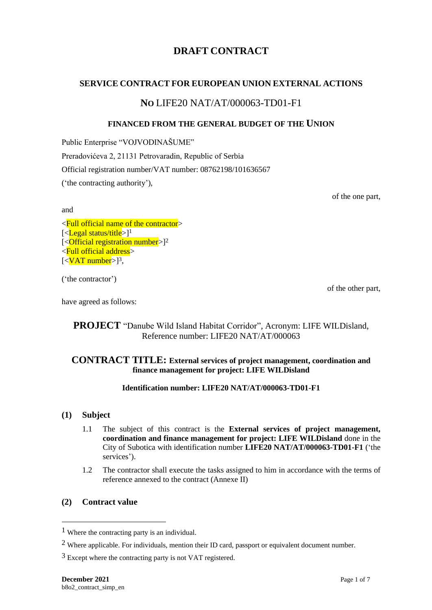# **DRAFT CONTRACT**

## **SERVICE CONTRACT FOR EUROPEAN UNION EXTERNAL ACTIONS**

## **NO** LIFE20 NAT/AT/000063-TD01-F1

#### **FINANCED FROM THE GENERAL BUDGET OF THE UNION**

Public Enterprise "VOJVODINAŠUME" Preradovićeva 2, 21131 Petrovaradin, Republic of Serbia Official registration number/VAT number: 08762198/101636567 ('the contracting authority'),

of the one part,

<Full official name of the contractor> [<**Legal status/title**>]<sup>1</sup> [<**Official registration number**>]<sup>2</sup> <Full official address> [<VAT number>]<sup>3</sup>,

('the contractor')

and

of the other part,

have agreed as follows:

# **PROJECT** "Danube Wild Island Habitat Corridor", Acronym: LIFE WILDisland, Reference number: LIFE20 NAT/AT/000063

## **CONTRACT TITLE: External services of project management, coordination and finance management for project: LIFE WILDisland**

## **Identification number: LIFE20 NAT/AT/000063-TD01-F1**

#### **(1) Subject**

- 1.1 The subject of this contract is the **External services of project management, coordination and finance management for project: LIFE WILDisland** done in the City of Subotica with identification number **LIFE20 NAT/AT/000063-TD01-F1** ('the services').
- 1.2 The contractor shall execute the tasks assigned to him in accordance with the terms of reference annexed to the contract (Annexe II)

#### **(2) Contract value**

<sup>1</sup> Where the contracting party is an individual.

<sup>&</sup>lt;sup>2</sup> Where applicable. For individuals, mention their ID card, passport or equivalent document number.

<sup>3</sup> Except where the contracting party is not VAT registered.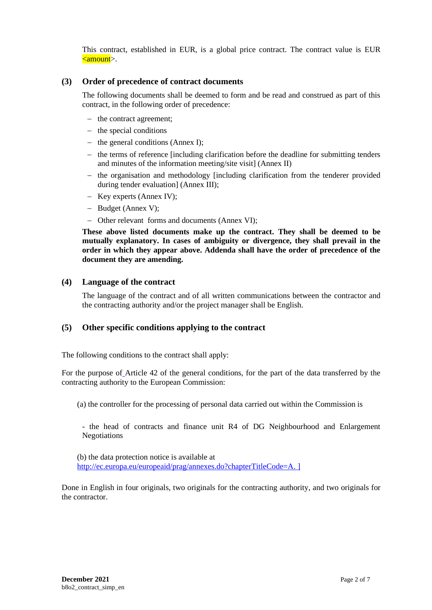This contract, established in EUR, is a global price contract. The contract value is EUR <amount>.

#### **(3) Order of precedence of contract documents**

The following documents shall be deemed to form and be read and construed as part of this contract, in the following order of precedence:

- − the contract agreement;
- − the special conditions
- − the general conditions (Annex I);
- − the terms of reference [including clarification before the deadline for submitting tenders and minutes of the information meeting/site visit] (Annex II)
- − the organisation and methodology [including clarification from the tenderer provided during tender evaluation] (Annex III);
- − Key experts (Annex IV);
- − Budget (Annex V);
- − Other relevant forms and documents (Annex VI);

**These above listed documents make up the contract. They shall be deemed to be mutually explanatory. In cases of ambiguity or divergence, they shall prevail in the order in which they appear above. Addenda shall have the order of precedence of the document they are amending.**

#### **(4) Language of the contract**

The language of the contract and of all written communications between the contractor and the contracting authority and/or the project manager shall be English.

## **(5) Other specific conditions applying to the contract**

The following conditions to the contract shall apply:

For the purpose of Article 42 of the general conditions, for the part of the data transferred by the contracting authority to the European Commission:

(a) the controller for the processing of personal data carried out within the Commission is

- the head of contracts and finance unit R4 of DG Neighbourhood and Enlargement Negotiations

(b) the data protection notice is available at [http://ec.europa.eu/europeaid/prag/annexes.do?chapterTitleCode=A.](http://ec.europa.eu/europeaid/prag/annexes.do?chapterTitleCode=A) ]

Done in English in four originals, two originals for the contracting authority, and two originals for the contractor.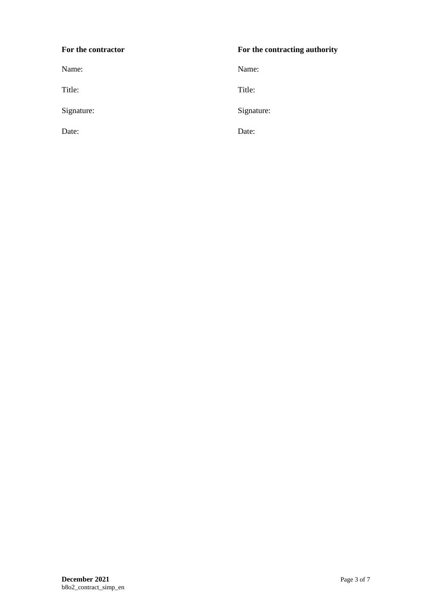| For the contractor | For the contracting authority |  |
|--------------------|-------------------------------|--|
| Name:              | Name:                         |  |
| Title:             | Title:                        |  |
| Signature:         | Signature:                    |  |
| Date:              | Date:                         |  |
|                    |                               |  |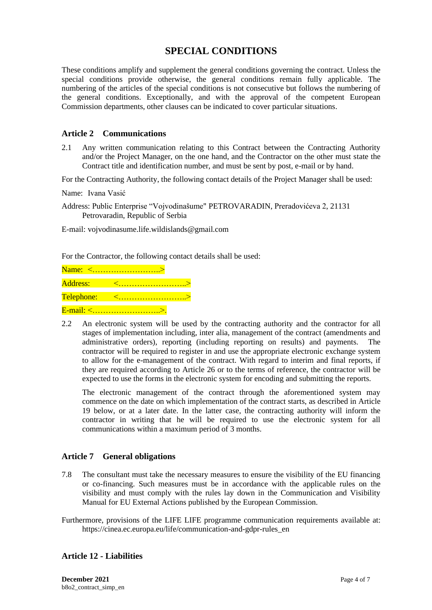# **SPECIAL CONDITIONS**

These conditions amplify and supplement the general conditions governing the contract. Unless the special conditions provide otherwise, the general conditions remain fully applicable. The numbering of the articles of the special conditions is not consecutive but follows the numbering of the general conditions. Exceptionally, and with the approval of the competent European Commission departments, other clauses can be indicated to cover particular situations.

## **Article 2 Communications**

2.1 Any written communication relating to this Contract between the Contracting Authority and/or the Project Manager, on the one hand, and the Contractor on the other must state the Contract title and identification number, and must be sent by post, e-mail or by hand.

For the Contracting Authority, the following contact details of the Project Manager shall be used:

Name: Ivana Vasić

Address: Public Enterprise "Vojvodinašume" PETROVARADIN, Preradovićeva 2, 21131 Petrovaradin, Republic of Serbia

E-mail: vojvodinasume.life.wildislands@gmail.com

For the Contractor, the following contact details shall be used:

Name: <................................> Address: <...............................> Telephone: <..............................>

E-mail: <.................................>.

2.2 An electronic system will be used by the contracting authority and the contractor for all stages of implementation including, inter alia, management of the contract (amendments and administrative orders), reporting (including reporting on results) and payments. The contractor will be required to register in and use the appropriate electronic exchange system to allow for the e-management of the contract. With regard to interim and final reports, if they are required according to Article 26 or to the terms of reference, the contractor will be expected to use the forms in the electronic system for encoding and submitting the reports.

The electronic management of the contract through the aforementioned system may commence on the date on which implementation of the contract starts, as described in Article 19 below, or at a later date. In the latter case, the contracting authority will inform the contractor in writing that he will be required to use the electronic system for all communications within a maximum period of 3 months.

## **Article 7 General obligations**

- 7.8 The consultant must take the necessary measures to ensure the visibility of the EU financing or co-financing. Such measures must be in accordance with the applicable rules on the visibility and must comply with the rules lay down in the Communication and Visibility Manual for EU External Actions published by the European Commission.
- Furthermore, provisions of the LIFE LIFE programme communication requirements available at: https://cinea.ec.europa.eu/life/communication-and-gdpr-rules\_en

## **Article 12 - Liabilities**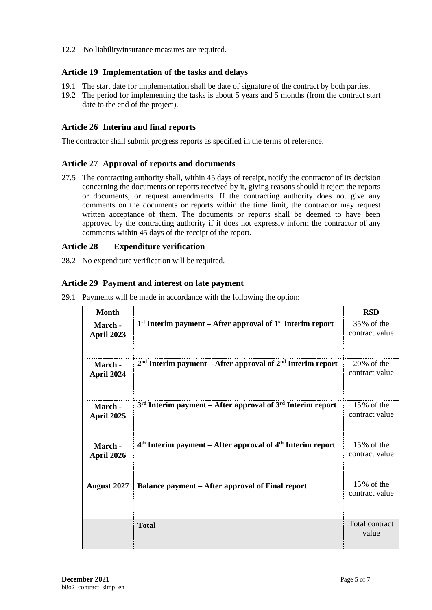12.2 No liability/insurance measures are required.

## **Article 19 Implementation of the tasks and delays**

- 19.1 The start date for implementation shall be date of signature of the contract by both parties.
- 19.2 The period for implementing the tasks is about 5 years and 5 months (from the contract start date to the end of the project).

## **Article 26 Interim and final reports**

The contractor shall submit progress reports as specified in the terms of reference.

## **Article 27 Approval of reports and documents**

27.5 The contracting authority shall, within 45 days of receipt, notify the contractor of its decision concerning the documents or reports received by it, giving reasons should it reject the reports or documents, or request amendments. If the contracting authority does not give any comments on the documents or reports within the time limit, the contractor may request written acceptance of them. The documents or reports shall be deemed to have been approved by the contracting authority if it does not expressly inform the contractor of any comments within 45 days of the receipt of the report.

## **Article 28 Expenditure verification**

28.2 No expenditure verification will be required.

## **Article 29 Payment and interest on late payment**

| <b>Month</b>                 |                                                                | <b>RSD</b>                      |
|------------------------------|----------------------------------------------------------------|---------------------------------|
| March -<br><b>April 2023</b> | $1st$ Interim payment – After approval of $1st$ Interim report | 35% of the<br>contract value    |
| March -<br>April 2024        | $2nd$ Interim payment – After approval of $2nd$ Interim report | $20\%$ of the<br>contract value |
| March -<br>April 2025        | 3rd Interim payment - After approval of 3rd Interim report     | $15\%$ of the<br>contract value |
| March -<br>April 2026        | $4th$ Interim payment – After approval of $4th$ Interim report | 15% of the<br>contract value    |
| <b>August 2027</b>           | <b>Balance payment – After approval of Final report</b>        | $15\%$ of the<br>contract value |
|                              | <b>Total</b>                                                   | <b>Total contract</b><br>value  |

29.1 Payments will be made in accordance with the following the option: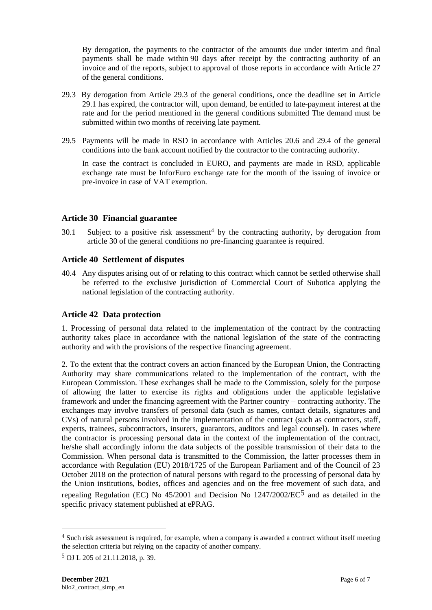By derogation, the payments to the contractor of the amounts due under interim and final payments shall be made within 90 days after receipt by the contracting authority of an invoice and of the reports, subject to approval of those reports in accordance with Article 27 of the general conditions.

- 29.3 By derogation from Article 29.3 of the general conditions, once the deadline set in Article 29.1 has expired, the contractor will, upon demand, be entitled to late-payment interest at the rate and for the period mentioned in the general conditions submitted The demand must be submitted within two months of receiving late payment.
- 29.5 Payments will be made in RSD in accordance with Articles 20.6 and 29.4 of the general conditions into the bank account notified by the contractor to the contracting authority.

In case the contract is concluded in EURO, and payments are made in RSD, applicable exchange rate must be InforEuro exchange rate for the month of the issuing of invoice or pre-invoice in case of VAT exemption.

#### **Article 30 Financial guarantee**

 $30.1$  Subject to a positive risk assessment<sup>4</sup> by the contracting authority, by derogation from article 30 of the general conditions no pre-financing guarantee is required.

#### **Article 40 Settlement of disputes**

40.4 Any disputes arising out of or relating to this contract which cannot be settled otherwise shall be referred to the exclusive jurisdiction of Commercial Court of Subotica applying the national legislation of the contracting authority.

#### **Article 42 Data protection**

1. Processing of personal data related to the implementation of the contract by the contracting authority takes place in accordance with the national legislation of the state of the contracting authority and with the provisions of the respective financing agreement.

2. To the extent that the contract covers an action financed by the European Union, the Contracting Authority may share communications related to the implementation of the contract, with the European Commission. These exchanges shall be made to the Commission, solely for the purpose of allowing the latter to exercise its rights and obligations under the applicable legislative framework and under the financing agreement with the Partner country – contracting authority. The exchanges may involve transfers of personal data (such as names, contact details, signatures and CVs) of natural persons involved in the implementation of the contract (such as contractors, staff, experts, trainees, subcontractors, insurers, guarantors, auditors and legal counsel). In cases where the contractor is processing personal data in the context of the implementation of the contract, he/she shall accordingly inform the data subjects of the possible transmission of their data to the Commission. When personal data is transmitted to the Commission, the latter processes them in accordance with Regulation (EU) 2018/1725 of the European Parliament and of the Council of 23 October 2018 on the protection of natural persons with regard to the processing of personal data by the Union institutions, bodies, offices and agencies and on the free movement of such data, and repealing Regulation (EC) No 45/2001 and Decision No 1247/2002/EC5 and as detailed in the specific privacy statement published at ePRAG.

<sup>4</sup> Such risk assessment is required, for example, when a company is awarded a contract without itself meeting the selection criteria but relying on the capacity of another company.

<sup>5</sup> OJ L 205 of 21.11.2018, p. 39.